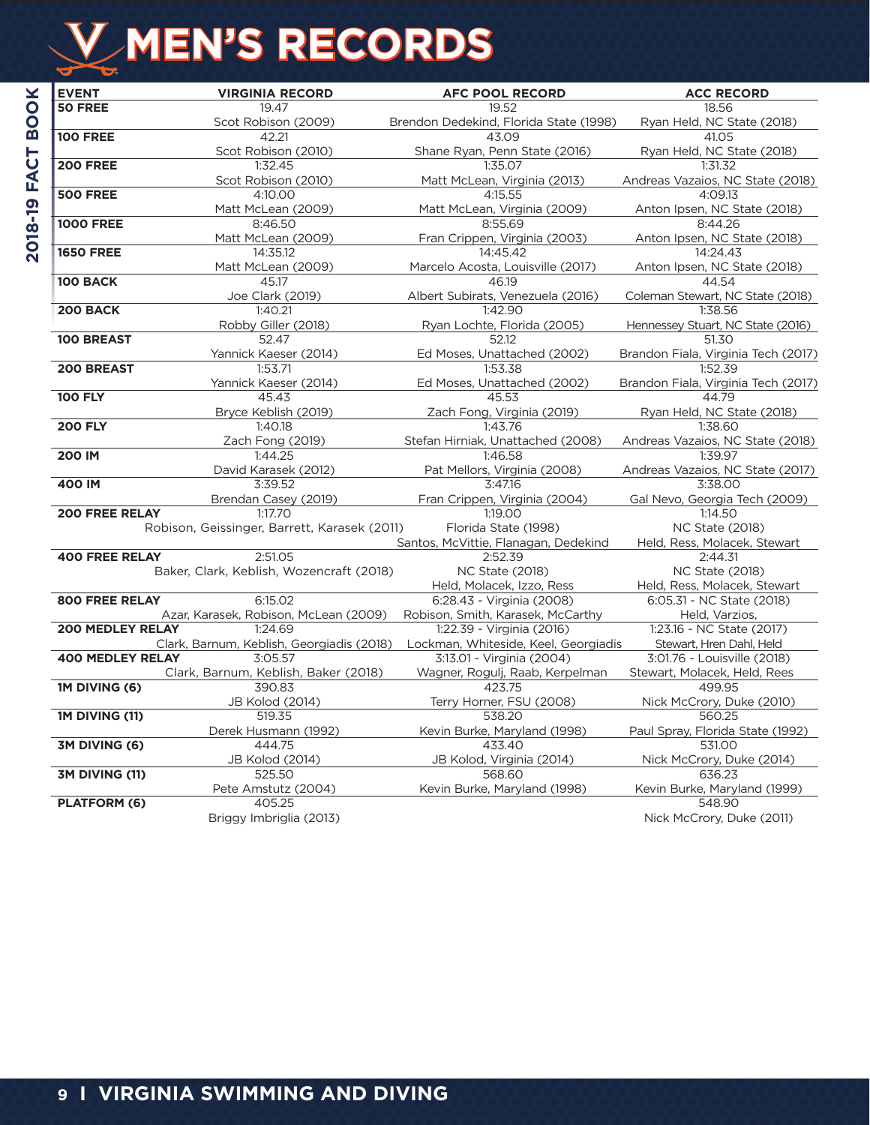# **MEN'S RECORDS**

| <b>EVENT</b>            | <b>VIRGINIA RECORD</b>                       | <b>AFC POOL RECORD</b>                   | <b>ACC RECORD</b>                           |
|-------------------------|----------------------------------------------|------------------------------------------|---------------------------------------------|
| <b>50 FREE</b>          | 19.47                                        | 19.52                                    | 18.56                                       |
|                         | Scot Robison (2009)                          | Brendon Dedekind, Florida State (1998)   | Ryan Held, NC State (2018)                  |
| <b>100 FREE</b>         | 42.21                                        | 43.09                                    | 41.05                                       |
|                         | Scot Robison (2010)                          | Shane Ryan, Penn State (2016)            | Ryan Held, NC State (2018)                  |
| <b>200 FREE</b>         | 1:32.45                                      | 1:35.07                                  | 1:31.32                                     |
|                         | Scot Robison (2010)                          | Matt McLean, Virginia (2013)             | Andreas Vazaios, NC State (2018)            |
| <b>500 FREE</b>         | 4:10.00                                      | 4:15.55                                  | 4:09.13                                     |
|                         | Matt McLean (2009)                           | Matt McLean, Virginia (2009)             | Anton Ipsen, NC State (2018)                |
| <b>1000 FREE</b>        | 8:46.50                                      | 8:55.69                                  | 8:44.26                                     |
|                         | Matt McLean (2009)                           | Fran Crippen, Virginia (2003)            | Anton Ipsen, NC State (2018)                |
| <b>1650 FREE</b>        | 14:35.12                                     | 14:45.42                                 | 14:24.43                                    |
|                         | Matt McLean (2009)                           | Marcelo Acosta, Louisville (2017)        | Anton Ipsen, NC State (2018)                |
| 100 BACK                | 45.17                                        | 46.19                                    | 44.54                                       |
|                         | Joe Clark (2019)                             | Albert Subirats, Venezuela (2016)        | Coleman Stewart, NC State (2018)            |
| 200 BACK                | 1:40.21                                      | 1:42.90                                  | 1:38.56                                     |
|                         | Robby Giller (2018)                          | Ryan Lochte, Florida (2005)              | Hennessey Stuart, NC State (2016)           |
| <b>100 BREAST</b>       | 52.47                                        | 52.12                                    | 51.30                                       |
|                         | Yannick Kaeser (2014)                        | Ed Moses, Unattached (2002)              | Brandon Fiala, Virginia Tech (2017)         |
| 200 BREAST              | 1:53.71                                      | 1:53.38                                  | 1:52.39                                     |
|                         | Yannick Kaeser (2014)                        | Ed Moses, Unattached (2002)              | Brandon Fiala, Virginia Tech (2017)         |
| <b>100 FLY</b>          | 45.43                                        | 45.53                                    | 44.79                                       |
|                         | Bryce Keblish (2019)                         | Zach Fong, Virginia (2019)               | Ryan Held, NC State (2018)                  |
| <b>200 FLY</b>          | 1:40.18                                      | 1:43.76                                  | 1:38.60                                     |
|                         | Zach Fong (2019)                             | Stefan Hirniak, Unattached (2008)        | Andreas Vazaios, NC State (2018)            |
| <b>200 IM</b>           | 1:44.25                                      | 1:46.58                                  | 1:39.97                                     |
| 400 IM                  | David Karasek (2012)<br>3:39.52              | Pat Mellors, Virginia (2008)<br>3:47.16  | Andreas Vazaios, NC State (2017)<br>3:38.00 |
|                         |                                              |                                          |                                             |
| <b>200 FREE RELAY</b>   | Brendan Casey (2019)<br>1:17.70              | Fran Crippen, Virginia (2004)<br>1:19.00 | Gal Nevo, Georgia Tech (2009)<br>1:14.50    |
|                         | Robison, Geissinger, Barrett, Karasek (2011) | Florida State (1998)                     | <b>NC State (2018)</b>                      |
|                         |                                              | Santos, McVittie, Flanagan, Dedekind     | Held, Ress, Molacek, Stewart                |
| <b>400 FREE RELAY</b>   | 2:51.05                                      | 2:52.39                                  | 2:44.31                                     |
|                         | Baker, Clark, Keblish, Wozencraft (2018)     | <b>NC State (2018)</b>                   | <b>NC State (2018)</b>                      |
|                         |                                              | Held, Molacek, Izzo, Ress                | Held, Ress, Molacek, Stewart                |
| <b>800 FREE RELAY</b>   | 6:15.02                                      | 6:28.43 - Virginia (2008)                | 6:05.31 - NC State (2018)                   |
|                         | Azar, Karasek, Robison, McLean (2009)        | Robison, Smith, Karasek, McCarthy        | Held, Varzios,                              |
| <b>200 MEDLEY RELAY</b> | 1:24.69                                      | 1:22.39 - Virginia (2016)                | 1:23.16 - NC State (2017)                   |
|                         | Clark, Barnum, Keblish, Georgiadis (2018)    | Lockman, Whiteside, Keel, Georgiadis     | Stewart, Hren Dahl, Held                    |
| <b>400 MEDLEY RELAY</b> | 3:05.57                                      | 3:13.01 - Virginia (2004)                | 3:01.76 - Louisville (2018)                 |
|                         | Clark, Barnum, Keblish, Baker (2018)         | Wagner, Rogulj, Raab, Kerpelman          | Stewart, Molacek, Held, Rees                |
| 1M DIVING (6)           | 390.83                                       | 423.75                                   | 499.95                                      |
|                         | JB Kolod (2014)                              | Terry Horner, FSU (2008)                 | Nick McCrory, Duke (2010)                   |
| 1M DIVING (11)          | 519.35                                       | 538.20                                   | 560.25                                      |
|                         | Derek Husmann (1992)                         | Kevin Burke, Maryland (1998)             | Paul Spray, Florida State (1992)            |
| 3M DIVING (6)           | 444.75                                       | 433.40                                   | 531.00                                      |
|                         | JB Kolod (2014)                              | JB Kolod, Virginia (2014)                | Nick McCrory, Duke (2014)                   |
| 3M DIVING (11)          | 525.50                                       | 568.60                                   | 636.23                                      |
|                         | Pete Amstutz (2004)                          | Kevin Burke, Maryland (1998)             | Kevin Burke, Maryland (1999)                |
| <b>PLATFORM (6)</b>     | 405.25                                       |                                          | 548.90                                      |
|                         | Briggy Imbriglia (2013)                      |                                          | Nick McCrory, Duke (2011)                   |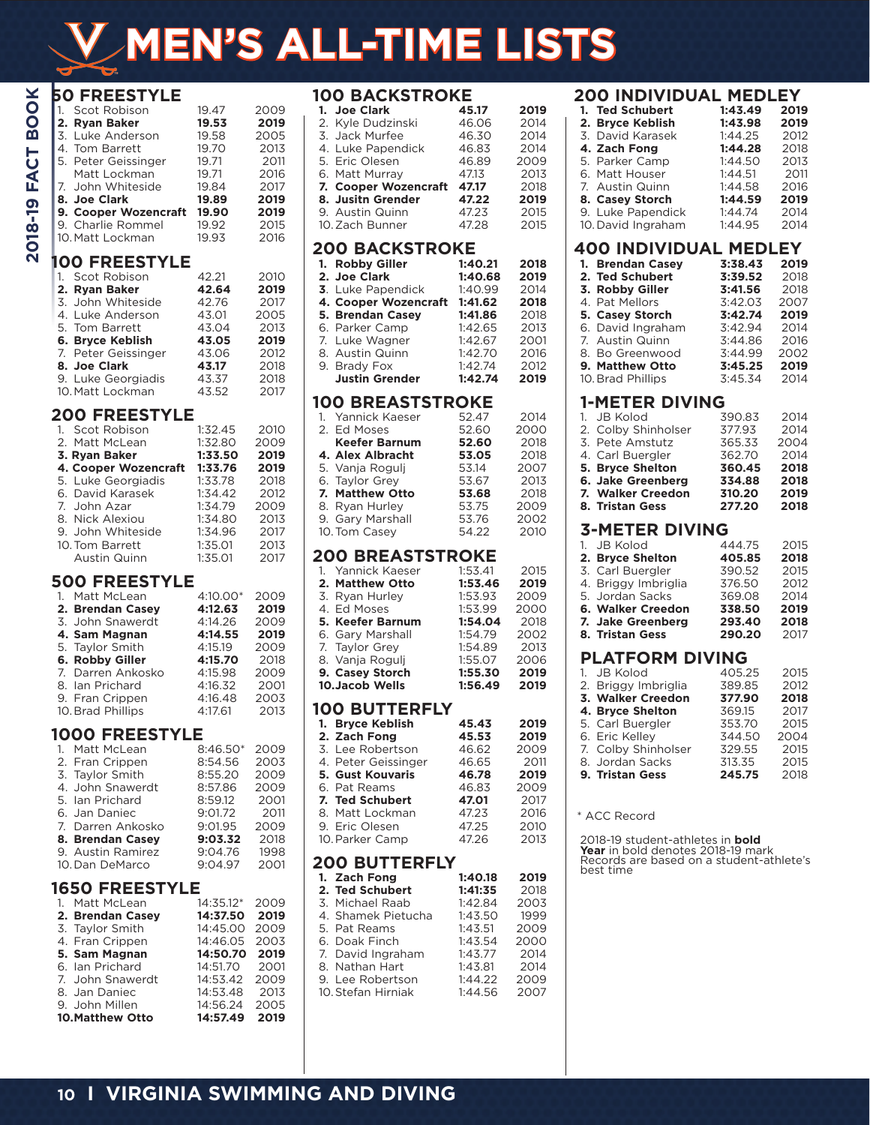# **MEN'S ALL-TIME LISTS**

| ×             | <b>50 FREESTYLE</b> |
|---------------|---------------------|
| $\mathbf O$   | Scot Robison        |
| $\mathbf O$   | 2.<br>Ryan Baker    |
| മ             | 3.<br>Luke Anderson |
| ⊢             | 4. Tom Barrett      |
| ن             | 5. Peter Geissinger |
| Ř             | Matt Lockman        |
|               | 7. John Whiteside   |
| ෩             | 8. Joe Clark        |
| Ŧ             | 9. Cooper Wozencraf |
| $\frac{1}{2}$ | 9. Charlie Rommel   |
|               | 10. Matt Lockman    |
| O             |                     |
|               | DEECTV              |

# 10. Matt Lockman **100 FREESTYLE**

| 1. Scot Robison     | 42.21 | 2010 |
|---------------------|-------|------|
| 2. Ryan Baker       | 42.64 | 2019 |
| 3. John Whiteside   | 42.76 | 2017 |
| 4. Luke Anderson    | 43.01 | 2005 |
| 5. Tom Barrett      | 43.04 | 2013 |
| 6. Bryce Keblish    | 43.05 | 2019 |
| 7. Peter Geissinger | 43.06 | 2012 |
| 8. Joe Clark        | 43.17 | 2018 |
| 9. Luke Georgiadis  | 43.37 | 2018 |
| 10. Matt Lockman    | 43.52 | 2017 |

1. Scot Robison 19.47 2009 **2. Ryan Baker 19.53 2019** 3. Luke Anderson 19.58 2005 4. Tom Barrett 19.70 2013<br>5. Peter Geissinger 19.71 2011 5. Peter Geissinger 19.71 2011 Matt Lockman 19.71 2016<br>John Whiteside 19.84 2017 7. John Whiteside 19.84 2017<br>**8. Joe Clark 19.89 2019 8. Joe Clark 19.89 2019 9. Cooper Wozencraft 19.90 2019** 9. Charlie Rommel 19.92 2015<br>10 Matt Lockman 19.93 2016

# **200 FREESTYLE**

| 1. Scot Robison      | 1:32.45 | 2010 |
|----------------------|---------|------|
| 2. Matt McLean       | 1:32.80 | 2009 |
| 3. Rvan Baker        | 1:33.50 | 2019 |
| 4. Cooper Wozencraft | 1:33.76 | 2019 |
| 5. Luke Georgiadis   | 1:33.78 | 2018 |
| 6. David Karasek     | 1:34.42 | 2012 |
| 7. John Azar         | 1:34.79 | 2009 |
| 8. Nick Alexiou      | 1:34.80 | 2013 |
| 9. John Whiteside    | 1:34.96 | 2017 |
| 10. Tom Barrett      | 1:35.01 | 2013 |
| Austin Quinn         | 1:35.01 | 2017 |
|                      |         |      |

# **500 FREESTYLE**

| 1. Matt McLean    | $4:10.00*$ | 2009 |
|-------------------|------------|------|
| 2. Brendan Casey  | 4:12.63    | 2019 |
| 3. John Snawerdt  | 4:14.26    | 2009 |
| 4. Sam Magnan     | 4:14.55    | 2019 |
| 5. Taylor Smith   | 4:15.19    | 2009 |
| 6. Robby Giller   | 4:15.70    | 2018 |
| 7. Darren Ankosko | 4:15.98    | 2009 |
| 8. Ian Prichard   | 4:16.32    | 2001 |
| 9. Fran Crippen   | 4:16.48    | 2003 |
| 10. Brad Phillips | 4:17.61    | 2013 |

# **1000 FREESTYLE**

| $8:46.50*$ | 2009 |
|------------|------|
| 8:54.56    | 2003 |
| 8:55.20    | 2009 |
| 8:57.86    | 2009 |
| 8:59.12    | 2001 |
| 9:01.72    | 2011 |
| 9:01.95    | 2009 |
| 9:03.32    | 2018 |
| 9:04.76    | 1998 |
| 9:04.97    | 2001 |
|            |      |

#### **1650 FREESTYLE**

| 1. Matt McLean         | 14:35.12* | 2009 |
|------------------------|-----------|------|
| 2. Brendan Casey       | 14:37.50  | 2019 |
| 3. Taylor Smith        | 14:45.00  | 2009 |
| 4. Fran Crippen        | 14:46.05  | 2003 |
| 5. Sam Magnan          | 14:50.70  | 2019 |
| 6. Ian Prichard        | 14:51.70  | 2001 |
| 7. John Snawerdt       | 14:53.42  | 2009 |
| 8. Jan Daniec          | 14:53.48  | 2013 |
| 9. John Millen         | 14:56.24  | 2005 |
| <b>10.Matthew Otto</b> | 14:57.49  | 2019 |

#### **100 BACKSTROKE**<br>1. Joe Clark 45.17 **1. Joe Clark 45.17 2019** 2. Kyle Dudzinski 46.06 2014 3. Jack Murfee 46.30 2014 4. Luke Papendick  $46.83$  2014<br>5. Fric Olesen  $46.89$  2009 5. Eric Olesen 46.89 2009 6. Matt Murray **47.13 2013**<br>**7. Cooper Wozencraft 47.17** 2018 **7. Cooper Wozencraft 47.17 2018**<br>**8. Jusitn Grender 47.22 2019 8. Jusitn Grender 47.22 2019** 9. Austin Quinn 47.23 2015 10. Zach Bunner **200 BACKSTROKE**<br>1. Pobby Giller 1:40.21 **1. Robby Giller 1:40.21 2018 2. Joe Clark 1:40.68 2019 3**. Luke Papendick 1:40.99 2014<br>**4. Cooper Wozencraft 1:41.62 2018 4. Cooper Wozencraft 1:41.62 2018 5. Brendan Casey 1:41.86** 2018 6. Parker Camp 7. Luke Wagner 1:42.67 2001 8. Austin Quinn 1:42.70 2016 Brady Fox 1:42.74 2012<br> **Justin Grender 1:42.74 2019 Justin Grender 100 BREASTSTROKE**<br>1. Yannick Kaeser 52.47 1. Yannick Kaeser 52.47 2014 2. Ed Moses 52.60 2000<br> **Keefer Barnum 52.60** 2018 **Keefer Barnum 52.60** 2018 **4. Alex Albracht 53.05** 2018<br>**5. Vanja Rogulj 53.14 2007** 5. Vanja Rogulj 53.14 2007 6. Taylor Grey **7. Matthew Otto 53.68** 2018 8. Ryan Hurley  $\begin{array}{r} 53.75 \ 9 \ \end{array}$  Gary Marshall  $\begin{array}{r} 53.75 \ 53.76 \ \end{array}$  2002 9. Gary Marshall 53.76 2002 10. Tom Casey **200 BREASTSTROKE**<br>1. Yannick Kaeser 1:53.41 Yannick Kaeser 1:53.41 2015<br> **Matthew Otto 1:53.46 2019 2. Matthew Otto 1:53.46 2019**  3. Ryan Hurley 1:53.93 2009 Ed Moses **5. Keefer Barnum 1:54.04** 2018 6. Gary Marshall 1:54.79 2002 7. Taylor Grey 1:54.89 2013 8. Vanja Rogulj 1:55.07 2006<br>**9. Casev Storch 1:55.30 2019 9. Casey Storch 1:55.30 2019** 10.Jacob Wells **100 BUTTERFLY 1. Bryce Keblish 45.43 2019 2. Zach Fong 45.53 2019**  Ee Robertson 46.62 2009<br>Peter Geissinger 46.65 2011 4. Peter Geissinger 46.65<br>**5. Gust Kouvaris 46.78 5. Gust Kouvaris 46.78 2019** Pat Reams 46.83 2009<br> **Ted Schubert 47.01** 2017 **7. Ted Schubert 47.01** 2017 8. Matt Lockman 47.23 2016 9. Eric Olesen 10.Parker Camp 47.26 2013 **200 BUTTERFLY**<br>1. Zach Fong 1:40.18 **1. Zach Fong 1:40.18 2019 2. Ted Schubert 1:41:35** 2018 3. Michael Raab 1:42.84 2003 4. Shamek Pietucha 1:43.50 1999 Pat Reams 1:43.51 2009<br>
Doak Finch 1:43.54 2000 6. Doak Finch 1:43.54 2000 7. David Ingraham 1:43.77 2014 Nathan Hart 1:43.81 2014<br>Lee Robertson 1:44.22 2009 9. Lee Robertson 1:44.22 2009 10. Stefan Hirniak

# **200 INDIVIDUAL MEDLEY**

| 1. Ted Schubert    | 1:43.49 | 2019 |
|--------------------|---------|------|
| 2. Bryce Keblish   | 1:43.98 | 2019 |
| 3. David Karasek   | 1:44.25 | 2012 |
| 4. Zach Fong       | 1:44.28 | 2018 |
| 5. Parker Camp     | 1:44.50 | 2013 |
| 6. Matt Houser     | 1:44.51 | 2011 |
| 7. Austin Quinn    | 1:44.58 | 2016 |
| 8. Casey Storch    | 1:44.59 | 2019 |
| 9. Luke Papendick  | 1:44.74 | 2014 |
| 10. David Ingraham | 1:44.95 | 2014 |

# **400 INDIVIDUAL MEDLEY**

| 1. Brendan Casey  | 3:38.43 | 2019 |
|-------------------|---------|------|
| 2. Ted Schubert   | 3:39.52 | 2018 |
| 3. Robby Giller   | 3:41.56 | 2018 |
| 4. Pat Mellors    | 3:42.03 | 2007 |
| 5. Casey Storch   | 3:42.74 | 2019 |
| 6. David Ingraham | 3:42.94 | 2014 |
| 7. Austin Quinn   | 3:44.86 | 2016 |
| 8. Bo Greenwood   | 3:44.99 | 2002 |
| 9. Matthew Otto   | 3:45.25 | 2019 |
| 10. Brad Phillips | 3:45.34 | 2014 |

### **1-METER DIVING**

| 1. JB Kolod             | 390.83 | 2014 |
|-------------------------|--------|------|
| 2. Colby Shinholser     | 377.93 | 2014 |
| 3. Pete Amstutz         | 365.33 | 2004 |
| 4. Carl Buergler        | 362.70 | 2014 |
| <b>5. Brvce Shelton</b> | 360.45 | 2018 |
| 6. Jake Greenberg       | 334.88 | 2018 |
| 7. Walker Creedon       | 310.20 | 2019 |
| 8. Tristan Gess         | 277.20 | 2018 |
| <b>3-METER DIVING</b>   |        |      |
| 1. JB Kolod             | 444.75 | 2015 |

| 8. Tristan Gess     | 290.20         | 2017 |
|---------------------|----------------|------|
| 7. Jake Greenberg   | 293.40         | 2018 |
| 6. Walker Creedon   | 338.50         | 2019 |
| 5. Jordan Sacks     | 369.08         | 2014 |
| 4. Briggy Imbriglia | 376.50         | 2012 |
| 3. Carl Buergler    | 390.52         | 2015 |
| 2. Bryce Shelton    | 405.85         | 2018 |
| 1. JU NUIVU         | ——— . <i>.</i> | 2012 |

# **PLATFORM DIVING**

| 1. JB Kolod         | 405.25 | 2015 |
|---------------------|--------|------|
| 2. Briggy Imbriglia | 389.85 | 2012 |
| 3. Walker Creedon   | 377.90 | 2018 |
| 4. Bryce Shelton    | 369.15 | 2017 |
| 5. Carl Buergler    | 353.70 | 2015 |
| 6. Eric Kelley      | 344.50 | 2004 |
| 7. Colby Shinholser | 329.55 | 2015 |
| 8. Jordan Sacks     | 313.35 | 2015 |
| 9. Tristan Gess     | 245.75 | 2018 |
|                     |        |      |

#### \* ACC Record

2018-19 student-athletes in **bold Year** in bold denotes 2018-19 mark Records are based on a student-athlete's best time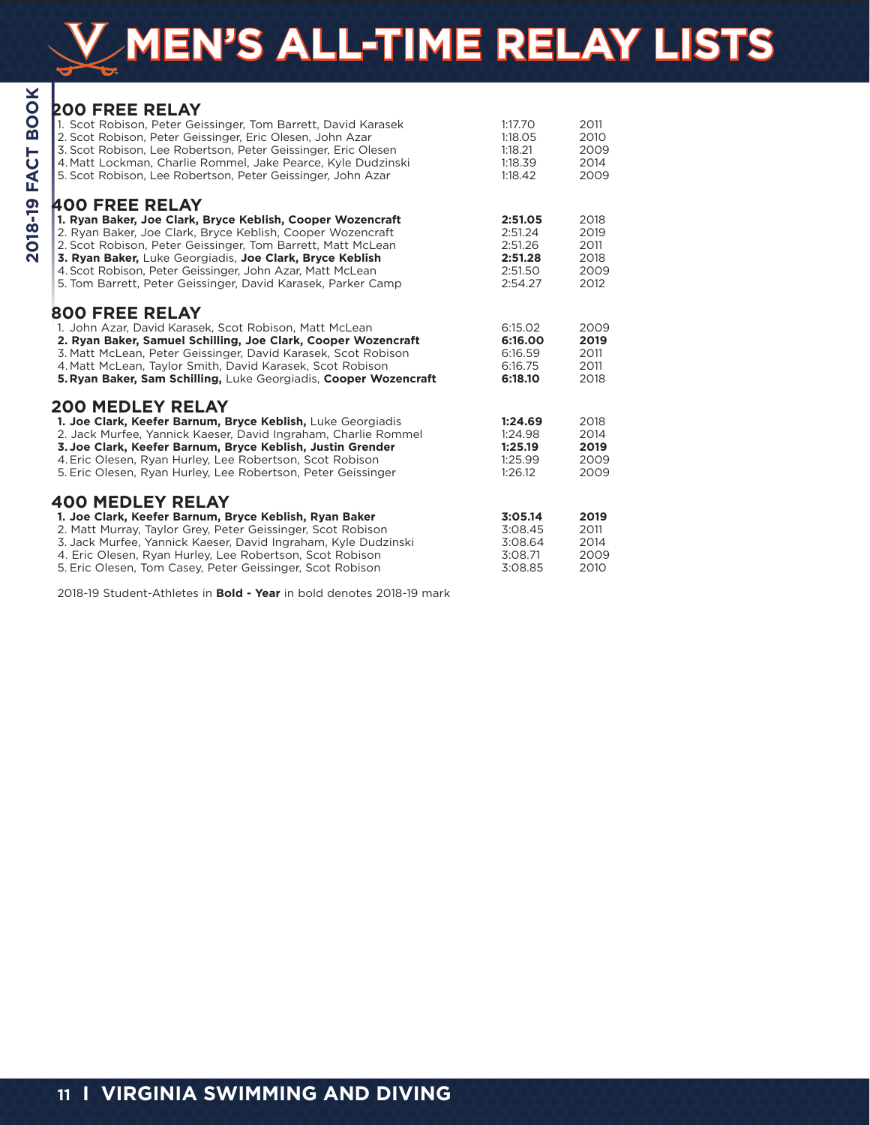# **MEN'S ALL-TIME RELAY LISTS**

| <b>BOOK</b><br><b>FACT</b> | <b>200 FREE RELAY</b><br>1. Scot Robison, Peter Geissinger, Tom Barrett, David Karasek<br>2. Scot Robison, Peter Geissinger, Eric Olesen, John Azar<br>3. Scot Robison, Lee Robertson, Peter Geissinger, Eric Olesen<br>4. Matt Lockman, Charlie Rommel, Jake Pearce, Kyle Dudzinski<br>5. Scot Robison, Lee Robertson, Peter Geissinger, John Azar                                                       | 1:17.70<br>1:18.05<br>1:18.21<br>1:18.39<br>1:18.42            | 2011<br>2010<br>2009<br>2014<br>2009         |
|----------------------------|-----------------------------------------------------------------------------------------------------------------------------------------------------------------------------------------------------------------------------------------------------------------------------------------------------------------------------------------------------------------------------------------------------------|----------------------------------------------------------------|----------------------------------------------|
| 018-19<br>Ñ                | <b>400 FREE RELAY</b><br>1. Ryan Baker, Joe Clark, Bryce Keblish, Cooper Wozencraft<br>2. Ryan Baker, Joe Clark, Bryce Keblish, Cooper Wozencraft<br>2. Scot Robison, Peter Geissinger, Tom Barrett, Matt McLean<br>3. Ryan Baker, Luke Georgiadis, Joe Clark, Bryce Keblish<br>4. Scot Robison, Peter Geissinger, John Azar, Matt McLean<br>5. Tom Barrett, Peter Geissinger, David Karasek, Parker Camp | 2:51.05<br>2:51.24<br>2:51.26<br>2:51.28<br>2:51.50<br>2:54.27 | 2018<br>2019<br>2011<br>2018<br>2009<br>2012 |
|                            | <b>800 FREE RELAY</b><br>1. John Azar, David Karasek, Scot Robison, Matt McLean<br>2. Ryan Baker, Samuel Schilling, Joe Clark, Cooper Wozencraft<br>3. Matt McLean, Peter Geissinger, David Karasek, Scot Robison<br>4. Matt McLean, Taylor Smith, David Karasek, Scot Robison<br>5. Ryan Baker, Sam Schilling, Luke Georgiadis, Cooper Wozencraft                                                        | 6:15.02<br>6:16.00<br>6:16.59<br>6:16.75<br>6:18.10            | 2009<br>2019<br>2011<br>2011<br>2018         |
|                            | <b>200 MEDLEY RELAY</b><br>1. Joe Clark, Keefer Barnum, Bryce Keblish, Luke Georgiadis<br>2. Jack Murfee, Yannick Kaeser, David Ingraham, Charlie Rommel<br>3. Joe Clark, Keefer Barnum, Bryce Keblish, Justin Grender<br>4. Eric Olesen, Ryan Hurley, Lee Robertson, Scot Robison<br>5. Eric Olesen, Ryan Hurley, Lee Robertson, Peter Geissinger                                                        | 1:24.69<br>1:24.98<br>1:25.19<br>1:25.99<br>1:26.12            | 2018<br>2014<br>2019<br>2009<br>2009         |
|                            | <b>400 MEDLEY RELAY</b><br>1. Joe Clark, Keefer Barnum, Bryce Keblish, Ryan Baker<br>2. Matt Murray, Taylor Grey, Peter Geissinger, Scot Robison<br>3. Jack Murfee, Yannick Kaeser, David Ingraham, Kyle Dudzinski<br>4. Eric Olesen, Ryan Hurley, Lee Robertson, Scot Robison<br>5. Eric Olesen, Tom Casey, Peter Geissinger, Scot Robison                                                               | 3:05.14<br>3:08.45<br>3:08.64<br>3:08.71<br>3:08.85            | 2019<br>2011<br>2014<br>2009<br>2010         |

2018-19 Student-Athletes in **Bold - Year** in bold denotes 2018-19 mark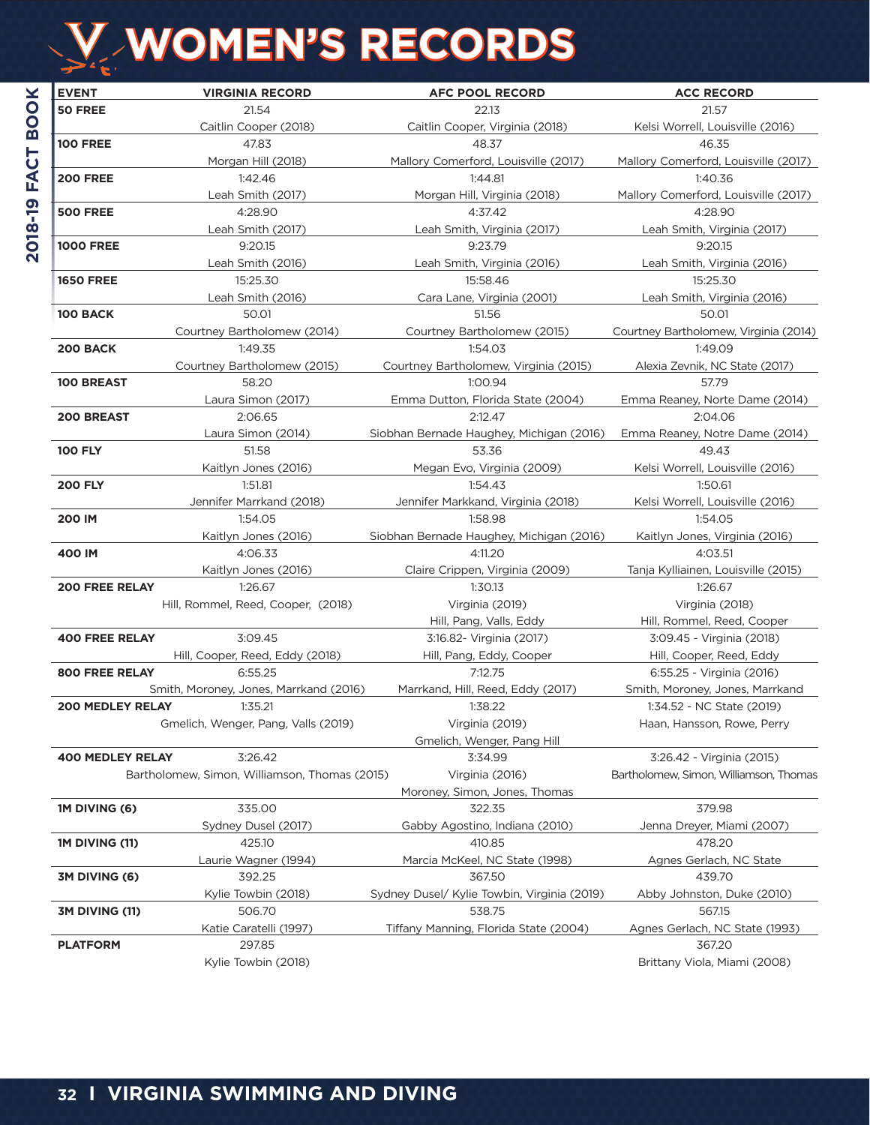# **CAVALIER WOMEN'S RECORDS WOMEN'S RECORDS**

| <b>EVENT</b>            | <b>VIRGINIA RECORD</b>                        | <b>AFC POOL RECORD</b>                      | <b>ACC RECORD</b>                      |
|-------------------------|-----------------------------------------------|---------------------------------------------|----------------------------------------|
| 50 FREE                 | 21.54                                         | 22.13                                       | 21.57                                  |
|                         | Caitlin Cooper (2018)                         | Caitlin Cooper, Virginia (2018)             | Kelsi Worrell, Louisville (2016)       |
| <b>100 FREE</b>         | 47.83                                         | 48.37                                       | 46.35                                  |
|                         | Morgan Hill (2018)                            | Mallory Comerford, Louisville (2017)        | Mallory Comerford, Louisville (2017)   |
| <b>200 FREE</b>         | 1:42.46                                       | 1:44.81                                     | 1:40.36                                |
|                         | Leah Smith (2017)                             | Morgan Hill, Virginia (2018)                | Mallory Comerford, Louisville (2017)   |
| <b>500 FREE</b>         | 4:28.90                                       | 4:37.42                                     | 4:28.90                                |
|                         | Leah Smith (2017)                             | Leah Smith, Virginia (2017)                 | Leah Smith, Virginia (2017)            |
| <b>1000 FREE</b>        | 9:20.15                                       | 9:23.79                                     | 9:20.15                                |
|                         | Leah Smith (2016)                             | Leah Smith, Virginia (2016)                 | Leah Smith, Virginia (2016)            |
| <b>1650 FREE</b>        | 15:25.30                                      | 15:58.46                                    | 15:25.30                               |
|                         | Leah Smith (2016)                             | Cara Lane, Virginia (2001)                  | Leah Smith, Virginia (2016)            |
| 100 BACK                | 50.01                                         | 51.56                                       | 50.01                                  |
|                         | Courtney Bartholomew (2014)                   | Courtney Bartholomew (2015)                 | Courtney Bartholomew, Virginia (2014)  |
| 200 BACK                | 1:49.35                                       | 1:54.03                                     | 1:49.09                                |
|                         | Courtney Bartholomew (2015)                   | Courtney Bartholomew, Virginia (2015)       | Alexia Zevnik, NC State (2017)         |
| <b>100 BREAST</b>       | 58.20                                         | 1:00.94                                     | 57.79                                  |
|                         | Laura Simon (2017)                            | Emma Dutton, Florida State (2004)           | Emma Reaney, Norte Dame (2014)         |
| <b>200 BREAST</b>       | 2:06.65                                       | 2:12.47                                     | 2:04.06                                |
|                         | Laura Simon (2014)                            | Siobhan Bernade Haughey, Michigan (2016)    | Emma Reaney, Notre Dame (2014)         |
| <b>100 FLY</b>          | 51.58                                         | 53.36                                       | 49.43                                  |
|                         | Kaitlyn Jones (2016)                          | Megan Evo, Virginia (2009)                  | Kelsi Worrell, Louisville (2016)       |
| <b>200 FLY</b>          | 1:51.81                                       | 1:54.43                                     | 1:50.61                                |
|                         | Jennifer Marrkand (2018)                      | Jennifer Markkand, Virginia (2018)          | Kelsi Worrell, Louisville (2016)       |
| 200 IM                  | 1:54.05                                       | 1:58.98                                     | 1:54.05                                |
|                         | Kaitlyn Jones (2016)                          | Siobhan Bernade Haughey, Michigan (2016)    | Kaitlyn Jones, Virginia (2016)         |
| 400 IM                  | 4:06.33                                       | 4:11.20                                     | 4:03.51                                |
|                         | Kaitlyn Jones (2016)                          | Claire Crippen, Virginia (2009)             | Tanja Kylliainen, Louisville (2015)    |
| <b>200 FREE RELAY</b>   | 1:26.67                                       | 1:30.13                                     | 1:26.67                                |
|                         | Hill, Rommel, Reed, Cooper, (2018)            | Virginia (2019)                             | Virginia (2018)                        |
|                         |                                               | Hill, Pang, Valls, Eddy                     | Hill, Rommel, Reed, Cooper             |
| <b>400 FREE RELAY</b>   | 3:09.45                                       | 3:16.82- Virginia (2017)                    | 3:09.45 - Virginia (2018)              |
|                         | Hill, Cooper, Reed, Eddy (2018)               | Hill, Pang, Eddy, Cooper                    | Hill, Cooper, Reed, Eddy               |
| <b>800 FREE RELAY</b>   | 6:55.25                                       | 7:12.75                                     | 6:55.25 - Virginia (2016)              |
|                         | Smith, Moroney, Jones, Marrkand (2016)        | Marrkand, Hill, Reed, Eddy (2017)           | Smith, Moroney, Jones, Marrkand        |
| <b>200 MEDLEY RELAY</b> | 1:35.21                                       | 1:38.22                                     | 1:34.52 - NC State (2019)              |
|                         | Gmelich, Wenger, Pang, Valls (2019)           | Virginia (2019)                             | Haan, Hansson, Rowe, Perry             |
|                         |                                               | Gmelich, Wenger, Pang Hill<br>3:34.99       |                                        |
| <b>400 MEDLEY RELAY</b> | 3:26.42                                       |                                             | 3:26.42 - Virginia (2015)              |
|                         | Bartholomew, Simon, Williamson, Thomas (2015) | Virginia (2016)                             | Bartholomew, Simon, Williamson, Thomas |
|                         | 335.00                                        | Moroney, Simon, Jones, Thomas<br>322.35     | 379.98                                 |
| 1M DIVING (6)           | Sydney Dusel (2017)                           | Gabby Agostino, Indiana (2010)              |                                        |
| 1M DIVING (11)          | 425.10                                        | 410.85                                      | Jenna Dreyer, Miami (2007)<br>478.20   |
|                         | Laurie Wagner (1994)                          | Marcia McKeel, NC State (1998)              | Agnes Gerlach, NC State                |
| 3M DIVING (6)           | 392.25                                        | 367.50                                      | 439.70                                 |
|                         | Kylie Towbin (2018)                           | Sydney Dusel/ Kylie Towbin, Virginia (2019) | Abby Johnston, Duke (2010)             |
| 3M DIVING (11)          | 506.70                                        | 538.75                                      | 567.15                                 |
|                         | Katie Caratelli (1997)                        | Tiffany Manning, Florida State (2004)       | Agnes Gerlach, NC State (1993)         |
| <b>PLATFORM</b>         | 297.85                                        |                                             | 367.20                                 |
|                         | Kylie Towbin (2018)                           |                                             | Brittany Viola, Miami (2008)           |
|                         |                                               |                                             |                                        |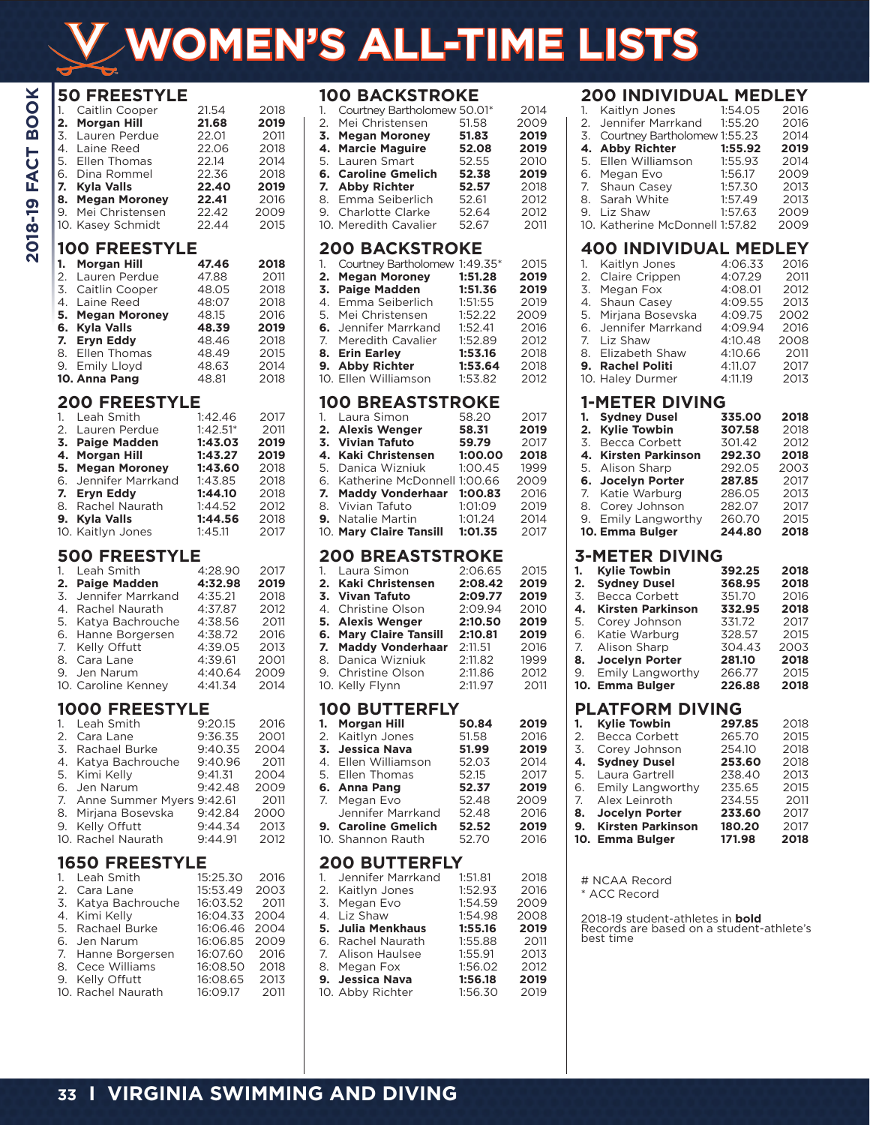# **WOMEN'S ALL-TIME LISTS**

| 1.<br>2.<br>3.<br>4.<br>5.<br>6.<br>7.<br>8.<br>9. | <b>50 FREESTYLE</b><br>Caitlin Cooper<br><b>Morgan Hill</b><br>Lauren Perdue<br>Laine Reed<br>Ellen Thomas<br>Dina Rommel<br><b>Kyla Valls</b><br><b>Megan Moroney</b><br>Mei Christensen<br>10. Kasey Schmidt    | 21.54<br>21.68<br>22.01<br>22.06<br>22.14<br>22.36<br>22.40<br>22.41<br>22.42<br>22.44                        | 2018<br>2019<br>2011<br>2018<br>2014<br>2018<br>2019<br>2016<br>2009<br>2015 |
|----------------------------------------------------|-------------------------------------------------------------------------------------------------------------------------------------------------------------------------------------------------------------------|---------------------------------------------------------------------------------------------------------------|------------------------------------------------------------------------------|
| 1.<br>2.<br>3.<br>7.<br>9.                         | <b>100 FREESTYLE</b><br><b>Morgan Hill</b><br>Lauren Perdue<br>Caitlin Cooper<br>4. Laine Reed<br>5. Megan Moroney<br>6. Kyla Valls<br><b>Eryn Eddy</b><br>8. Ellen Thomas<br><b>Emily Lloyd</b><br>10. Anna Pang | 47.46<br>47.88<br>48.05<br>48:07<br>48.15<br>48.39<br>48.46<br>48.49<br>48.63<br>48.81                        | 2018<br>2011<br>2018<br>2018<br>2016<br>2019<br>2018<br>2015<br>2014<br>2018 |
| 1.<br>2.<br>7.<br>8.<br>9.                         | <b>200 FREESTYLE</b><br>Leah Smith<br>Lauren Perdue<br>3. Paige Madden<br>4. Morgan Hill<br>5. Megan Moroney<br>6. Jennifer Marrkand<br><b>Eryn Eddy</b><br>Rachel Naurath<br>Kyla Valls<br>10. Kaitlyn Jones     | 1:42.46<br>$1:42.51*$<br>1:43.03<br>1:43.27<br>1:43.60<br>1:43.85<br>1:44.10<br>1:44.52<br>1:44.56<br>1:45.11 | 2017<br>2011<br>2019<br>2019<br>2018<br>2018<br>2018<br>2012<br>2018<br>2017 |
| 1.<br>2.<br>3.<br>5.<br>7.<br>8.<br>9.             | <b>500 FREESTYLE</b><br>Leah Smith<br><b>Paige Madden</b><br>Jennifer Marrkand<br>4. Rachel Naurath<br>Katya Bachrouche<br>6. Hanne Borgersen<br>Kelly Offutt<br>Cara Lane<br>Jen Narum<br>10. Caroline Kenney    | 4:28.90<br>4:32.98<br>4:35.21<br>4:37.87<br>4:38.56<br>4:38.72<br>4:39.05<br>4:39.61<br>4:40.64<br>4:41.34    | 2017<br>2019<br>2018<br>2012<br>2011<br>2016<br>2013<br>2001<br>2009<br>2014 |
| 1.<br>2.<br>3.<br>4.<br>5.<br>6.<br>7.<br>8.<br>9. | 1000 FREESTYLE<br>Leah Smith<br>Cara Lane<br>Rachael Burke<br>Katya Bachrouche<br>Kimi Kelly<br>Jen Narum<br>Anne Summer Myers 9:42.61<br>Mirjana Bosevska<br>Kelly Offutt<br>10. Rachel Naurath                  | 9:20.15<br>9:36.35<br>9:40.35<br>9:40.96<br>9:41.31<br>9:42.48<br>9:42.84<br>9:44.34<br>9:44.91               | 2016<br>2001<br>2004<br>2011<br>2004<br>2009<br>2011<br>2000<br>2013<br>2012 |

# **1650 FREESTYLE**

| 1. Leah Smith       | 15:25.30      | 2016 |
|---------------------|---------------|------|
| 2. Cara Lane        | 15:53.49 2003 |      |
| 3. Katya Bachrouche | 16:03.52      | 2011 |
| 4. Kimi Kelly       | 16:04.33      | 2004 |
| 5. Rachael Burke    | 16:06.46      | 2004 |
| 6. Jen Narum        | 16:06.85      | 2009 |
| 7. Hanne Borgersen  | 16:07.60      | 2016 |
| 8. Cece Williams    | 16:08.50      | 2018 |
| 9. Kelly Offutt     | 16:08.65      | 2013 |
| 10. Rachel Naurath  | 16:09.17      | 2011 |

### **100 BACKSTROKE**

|    | שטושונונארונט שטו           |       |      |
|----|-----------------------------|-------|------|
| 1. | Courtney Bartholomew 50.01* |       | 2014 |
|    | 2. Mei Christensen          | 51.58 | 2009 |
|    | 3. Megan Moroney            | 51.83 | 2019 |
|    | 4. Marcie Maguire           | 52.08 | 2019 |
|    | 5. Lauren Smart             | 52.55 | 2010 |
|    | 6. Caroline Gmelich         | 52.38 | 2019 |
|    | 7. Abby Richter             | 52.57 | 2018 |
|    | 8. Emma Seiberlich          | 52.61 | 2012 |
|    | 9. Charlotte Clarke         | 52.64 | 2012 |
|    | 10. Meredith Cavalier       | 52.67 | 2011 |

# **200 BACKSTROKE**

|    | 1. Courtney Bartholomew 1:49.35* |         | 2015 |
|----|----------------------------------|---------|------|
|    | 2. Megan Moroney                 | 1:51.28 | 2019 |
| 3. | <b>Paige Madden</b>              | 1:51.36 | 2019 |
|    | 4. Emma Seiberlich               | 1:51:55 | 2019 |
|    | 5. Mei Christensen               | 1:52.22 | 2009 |
|    | 6. Jennifer Marrkand             | 1:52.41 | 2016 |
|    | 7. Meredith Cavalier             | 1:52.89 | 2012 |
|    | 8. Erin Earley                   | 1:53.16 | 2018 |
|    | 9. Abby Richter                  | 1:53.64 | 2018 |
|    | 10. Ellen Williamson             | 1:53.82 | 2012 |

### **100 BREASTSTROKE**

| 1. Laura Simon                 | 58.20   | 2017 |
|--------------------------------|---------|------|
| 2. Alexis Wenger               | 58.31   | 2019 |
| 3. Vivian Tafuto               | 59.79   | 2017 |
| 4. Kaki Christensen            | 1:00.00 | 2018 |
| 5. Danica Wizniuk              | 1:00.45 | 1999 |
| 6. Katherine McDonnell 1:00.66 |         | 2009 |
| 7. Maddy Vonderhaar 1:00.83    |         | 2016 |
| 8. Vivian Tafuto               | 1:01:09 | 2019 |
| <b>9.</b> Natalie Martin       | 1:01.24 | 2014 |
| 10. Mary Claire Tansill        | 1:01.35 | 2017 |

# **200 BREASTSTROKE**

| 1. Laura Simon         | 2:06.65 | 2015 |
|------------------------|---------|------|
| 2. Kaki Christensen    | 2:08.42 | 2019 |
| 3. Vivan Tafuto        | 2:09.77 | 2019 |
| 4. Christine Olson     | 2:09.94 | 2010 |
| 5. Alexis Wenger       | 2:10.50 | 2019 |
| 6. Mary Claire Tansill | 2:10.81 | 2019 |
| 7. Maddy Vonderhaar    | 2:11.51 | 2016 |
| 8. Danica Wizniuk      | 2:11.82 | 1999 |
| 9. Christine Olson     | 2:11.86 | 2012 |
| 10. Kelly Flynn        | 2:11.97 | 2011 |
|                        |         |      |

### **100 BUTTERFLY**

| 1. Morgan Hill      | 50.84 | 2019 |
|---------------------|-------|------|
| 2. Kaitlyn Jones    | 51.58 | 2016 |
| 3. Jessica Nava     | 51.99 | 2019 |
| 4. Ellen Williamson | 52.03 | 2014 |
| 5. Ellen Thomas     | 52.15 | 2017 |
| 6. Anna Pang        | 52.37 | 2019 |
| 7. Megan Evo        | 52.48 | 2009 |
| Jennifer Marrkand   | 52.48 | 2016 |
| 9. Caroline Gmelich | 52.52 | 2019 |
| 10. Shannon Rauth   | 52.70 | 2016 |
|                     |       |      |

# **200 BUTTERFLY**

| 1. Jennifer Marrkand | 1:51.81 | 2018 |
|----------------------|---------|------|
| 2. Kaitlyn Jones     | 1:52.93 | 2016 |
| 3. Megan Evo         | 1:54.59 | 2009 |
| 4. Liz Shaw          | 1:54.98 | 2008 |
| 5. Julia Menkhaus    | 1:55.16 | 2019 |
| 6. Rachel Naurath    | 1:55.88 | 2011 |
| 7. Alison Haulsee    | 1:55.91 | 2013 |
| 8. Megan Fox         | 1:56.02 | 2012 |
| 9. Jessica Nava      | 1:56.18 | 2019 |
| 10. Abby Richter     | 1:56.30 | 2019 |

# **200 INDIVIDUAL MEDLEY**

| 1. Kaitlyn Jones                | 1:54.05 | 2016 |
|---------------------------------|---------|------|
| 2. Jennifer Marrkand            | 1:55.20 | 2016 |
| 3. Courtney Bartholomew 1:55.23 |         | 2014 |
| 4. Abby Richter                 | 1:55.92 | 2019 |
| 5. Ellen Williamson             | 1:55.93 | 2014 |
| 6. Megan Evo                    | 1:56.17 | 2009 |
| 7. Shaun Casey                  | 1:57.30 | 2013 |
| 8. Sarah White                  | 1:57.49 | 2013 |
| 9. Liz Shaw                     | 1:57.63 | 2009 |
| 10. Katherine McDonnell 1:57.82 |         | 2009 |
|                                 |         |      |

# **400 INDIVIDUAL MEDLEY**

| 1. | Kaitlyn Jones        | 4:06.33 | 2016 |
|----|----------------------|---------|------|
|    | 2. Claire Crippen    | 4:07.29 | 2011 |
| 3. | Megan Fox            | 4:08.01 | 2012 |
|    | 4. Shaun Casey       | 4:09.55 | 2013 |
|    | 5. Mirjana Bosevska  | 4:09.75 | 2002 |
|    | 6. Jennifer Marrkand | 4:09.94 | 2016 |
|    | 7. Liz Shaw          | 4:10.48 | 2008 |
|    | 8. Elizabeth Shaw    | 4:10.66 | 2011 |
|    | 9. Rachel Politi     | 4:11.07 | 2017 |
|    | 10. Haley Durmer     | 4:11.19 | 2013 |
|    |                      |         |      |

### **1-METER DIVING**

| 1.                    | <b>Sydney Dusel</b>      | 335.00 | 2018 |  |  |  |  |
|-----------------------|--------------------------|--------|------|--|--|--|--|
| 2.                    | <b>Kylie Towbin</b>      | 307.58 | 2018 |  |  |  |  |
| 3.                    | Becca Corbett            | 301.42 | 2012 |  |  |  |  |
| 4.                    | <b>Kirsten Parkinson</b> | 292.30 | 2018 |  |  |  |  |
| 5.                    | Alison Sharp             | 292.05 | 2003 |  |  |  |  |
| 6.                    | <b>Jocelyn Porter</b>    | 287.85 | 2017 |  |  |  |  |
| 7.                    | Katie Warburg            | 286.05 | 2013 |  |  |  |  |
| 8.                    | Corey Johnson            | 282.07 | 2017 |  |  |  |  |
| 9.                    | Emily Langworthy         | 260.70 | 2015 |  |  |  |  |
|                       | 10. Emma Bulger          | 244.80 | 2018 |  |  |  |  |
|                       |                          |        |      |  |  |  |  |
| <b>3-METER DIVING</b> |                          |        |      |  |  |  |  |
|                       |                          |        |      |  |  |  |  |
| 1.                    | <b>Kylie Towbin</b>      | 392.25 | 2018 |  |  |  |  |
| 2.                    | <b>Sydney Dusel</b>      | 368.95 | 2018 |  |  |  |  |
| 3.                    | Becca Corbett            | 351.70 | 2016 |  |  |  |  |
| 4.                    | <b>Kirsten Parkinson</b> | 332.95 | 2018 |  |  |  |  |
| 5.                    | Corey Johnson            | 331.72 | 2017 |  |  |  |  |
| 6.                    | Katie Warburg            | 328.57 | 2015 |  |  |  |  |
| 7.                    | Alison Sharp             | 304.43 | 2003 |  |  |  |  |
| 8.                    | <b>Jocelyn Porter</b>    | 281.10 | 2018 |  |  |  |  |

9. Emily Langworthy 266.77 2015<br>**10. Emma Bulger 226.88 2018** 10. Emma Bulger

# **PLATFORM DIVING**

| 1.             | <b>Kylie Towbin</b>      | 297.85 | 2018 |
|----------------|--------------------------|--------|------|
| 2.             | Becca Corbett            | 265.70 | 2015 |
| 3.             | Corey Johnson            | 254.10 | 2018 |
| 4.             | <b>Sydney Dusel</b>      | 253.60 | 2018 |
| 5.             | Laura Gartrell           | 238.40 | 2013 |
|                | 6. Emily Langworthy      | 235.65 | 2015 |
| 7 <sup>1</sup> | Alex Leinroth            | 234.55 | 2011 |
| 8.             | <b>Jocelyn Porter</b>    | 233.60 | 2017 |
| 9.             | <b>Kirsten Parkinson</b> | 180.20 | 2017 |
|                | 10. Emma Bulger          | 171.98 | 2018 |

# NCAA Record

\* ACC Record

2018-19 student-athletes in **bold** Records are based on a student-athlete's best time